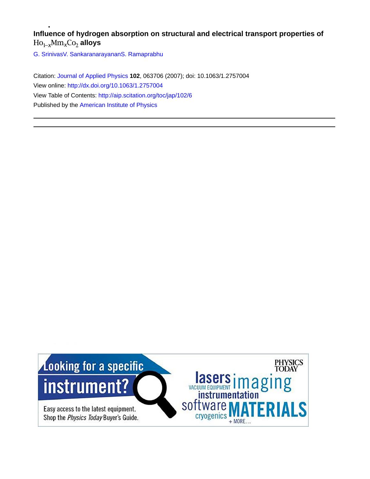# **Influence of hydrogen absorption on structural and electrical transport properties of**  $Ho_{1-x}Mm_xCo_2$  alloys

[G. Srinivas](http://aip.scitation.org/author/Srinivas%2C+G)[V. Sankaranarayanan](http://aip.scitation.org/author/Sankaranarayanan%2C+V)[S. Ramaprabhu](http://aip.scitation.org/author/Ramaprabhu%2C+S)

Citation: [Journal of Applied Physics](/loi/jap) **102**, 063706 (2007); doi: 10.1063/1.2757004 View online: <http://dx.doi.org/10.1063/1.2757004> View Table of Contents: <http://aip.scitation.org/toc/jap/102/6> Published by the [American Institute of Physics](http://aip.scitation.org/publisher/)

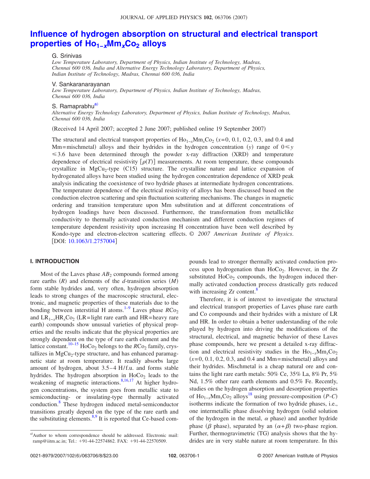# **[Influence of hydrogen absorption on structural and electrical transport](http://dx.doi.org/10.1063/1.2757004) properties of Ho<sub>1−</sub><sup>***x***Mm<sub>***x***</sub>Co<sub>2</sub> alloys</sub>**</sup>

G. Srinivas

*Low Temperature Laboratory, Department of Physics, Indian Institute of Technology, Madras, Chennai 600 036, India and Alternative Energy Technology Laboratory, Department of Physics, Indian Institute of Technology, Madras, Chennai 600 036, India*

#### V. Sankaranarayanan

*Low Temperature Laboratory, Department of Physics, Indian Institute of Technology, Madras, Chennai 600 036, India*

#### S. Ramaprabhu<sup>a)</sup>

*Alternative Energy Technology Laboratory, Department of Physics, Indian Institute of Technology, Madras, Chennai 600 036, India*

Received 14 April 2007; accepted 2 June 2007; published online 19 September 2007-

The structural and electrical transport properties of  $Ho_{1-x}Mm_xCo_2$  ( $x=0, 0.1, 0.2, 0.3,$  and 0.4 and Mm=mischmetal) alloys and their hydrides in the hydrogen concentration *(y)* range of  $0 \le y$  $\leq$  3.6 have been determined through the powder x-ray diffraction (XRD) and temperature dependence of electrical resistivity  $[\rho(T)]$  measurements. At room temperature, these compounds crystallize in  $MgCu<sub>2</sub>$ -type (C15) structure. The crystalline nature and lattice expansion of hydrogenated alloys have been studied using the hydrogen concentration dependence of XRD peak analysis indicating the coexistence of two hydride phases at intermediate hydrogen concentrations. The temperature dependence of the electrical resistivity of alloys has been discussed based on the conduction electron scattering and spin fluctuation scattering mechanisms. The changes in magnetic ordering and transition temperature upon Mm substitution and at different concentrations of hydrogen loadings have been discussed. Furthermore, the transformation from metalliclike conductivity to thermally activated conduction mechanism and different conduction regimes of temperature dependent resistivity upon increasing H concentration have been well described by Kondo-type and electron-electron scattering effects. © *2007 American Institute of Physics*. [DOI: [10.1063/1.2757004](http://dx.doi.org/10.1063/1.2757004)]

#### **I. INTRODUCTION**

Most of the Laves phase  $AB_2$  compounds formed among rare earths  $(R)$  and elements of the *d*-transition series  $(M)$ form stable hydrides and, very often, hydrogen absorption leads to strong changes of the macroscopic structural, electronic, and magnetic properties of these materials due to the bonding between interstitial H atoms.<sup>1-9</sup> Laves phase  $RCo<sub>2</sub>$ and LR<sub>1−*x*</sub>HR<sub>*x*</sub>Co<sub>2</sub> (LR=light rare earth and HR=heavy rare earth) compounds show unusual varieties of physical properties and the results indicate that the physical properties are strongly dependent on the type of rare earth element and the lattice constant.<sup>10–[15](#page-8-2)</sup> HoCo<sub>2</sub> belongs to the  $RCo<sub>2</sub>$  family, crystallizes in  $MgCu<sub>2</sub>$ -type structure, and has enhanced paramagnetic state at room temperature. It readily absorbs large amount of hydrogen, about 3.5–4 H/f.u. and forms stable hydrides. The hydrogen absorption in  $HoCo<sub>2</sub>$  leads to the weakening of magnetic interactions. $8,16,17$  $8,16,17$  $8,16,17$  At higher hydrogen concentrations, the system goes from metallic state to semiconducting- or insulating-type thermally activated conduction.<sup>8</sup> These hydrogen induced metal-semiconductor transitions greatly depend on the type of the rare earth and the substituting elements.<sup>8[,9](#page-8-0)</sup> It is reported that Ce-based compounds lead to stronger thermally activated conduction process upon hydrogenation than  $HoCo<sub>2</sub>$ . However, in the Zr substituted  $HoCo<sub>2</sub>$  compounds, the hydrogen induced thermally activated conduction process drastically gets reduced with increasing Zr content.<sup>8</sup>

Therefore, it is of interest to investigate the structural and electrical transport properties of Laves phase rare earth and Co compounds and their hydrides with a mixture of LR and HR. In order to obtain a better understanding of the role played by hydrogen into driving the modifications of the structural, electrical, and magnetic behavior of these Laves phase compounds, here we present a detailed x-ray diffraction and electrical resistivity studies in the  $Ho_{1-x}Mm_rCo_2$  $(x=0, 0.1, 0.2, 0.3,$  and 0.4 and Mm=mischmetal) alloys and their hydrides. Mischmetal is a cheap natural ore and contains the light rare earth metals: 50% Ce, 35% La, 8% Pr, 5% Nd, 1.5% other rare earth elements and 0.5% Fe. Recently, studies on the hydrogen absorption and desorption properties of Ho<sub>1−*x*</sub>Mm<sub>*x*</sub>Co<sub>2</sub> alloys<sup>18</sup> using pressure-composition  $(P-C)$ isotherms indicate the formation of two hydride phases, i.e., one intermetallic phase dissolving hydrogen (solid solution of the hydrogen in the metal,  $\alpha$  phase) and another hydride phase ( $\beta$  phase), separated by an  $(\alpha + \beta)$  two-phase region. Further, thermogravimetric (TG) analysis shows that the hydrides are in very stable nature at room temperature. In this

<span id="page-1-0"></span>a)Author to whom correspondence should be addressed. Electronic mail: ramp@iitm.ac.in; Tel.: +91-44-22574862. FAX: +91-44-22570509.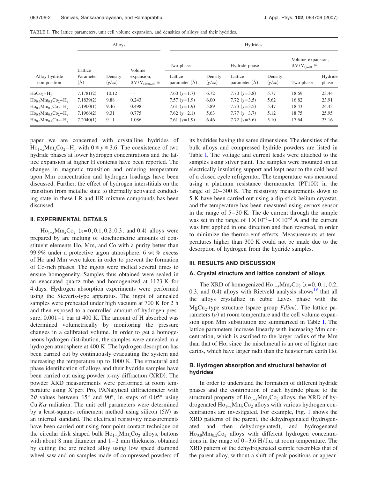<span id="page-2-0"></span>

| TABLE I. The lattice parameters, unit cell volume expansion, and densities of alloys and their hydrides. |  |
|----------------------------------------------------------------------------------------------------------|--|
|----------------------------------------------------------------------------------------------------------|--|

| Alloy hydride<br>composition                                    | Alloys                      |                   |                                                 | Hydrides                   |                   |                              |                   |                                             |                  |
|-----------------------------------------------------------------|-----------------------------|-------------------|-------------------------------------------------|----------------------------|-------------------|------------------------------|-------------------|---------------------------------------------|------------------|
|                                                                 | Lattice<br>Parameter<br>(A) | Density<br>(g/cc) | Volume<br>expansion,<br>$\Delta V/V_{(Mm=0)}$ % | Two phase                  |                   | Hydride phase                |                   | Volume expansion,<br>$\Delta V/V_{(y=0)}$ % |                  |
|                                                                 |                             |                   |                                                 | Lattice<br>parameter $(A)$ | Density<br>(g/cc) | Lattice<br>parameter $(\AA)$ | Density<br>(g/cc) | Two phase                                   | Hydride<br>phase |
| $HoCo_2-H_v$                                                    | 7.1781(2)                   | 10.12             | $\cdots$                                        | 7.60 $(y=1.7)$             | 6.72              | 7.70 $(y=3.8)$               | 5.77              | 18.69                                       | 23.44            |
| $\rm Ho_{0.9}Mm_{0.1}Co_2-H_v$                                  | 7.1839(2)                   | 9.88              | 0.243                                           | 7.57 $(y=1.9)$             | 6.00              | 7.72 $(y=3.5)$               | 5.62              | 16.82                                       | 23.91            |
| $\rm Ho_{0.8}Mm_{0.2}Co_2-H_v$                                  | 7.1900(1)                   | 9.46              | 0.498                                           | 7.61 $(y=1.9)$             | 5.89              | $7.73$ ( $v=3.5$ )           | 5.47              | 18.43                                       | 24.43            |
| $\text{Ho}_{0.7}\text{Mm}_{0.3}\text{Co}_2-\text{H}_{\text{v}}$ | 7.1966(2)                   | 9.31              | 0.775                                           | 7.62 $(y=2.1)$             | 5.63              | $7.77(y=3.7)$                | 5.12              | 18.75                                       | 25.95            |
| $Ho_{0.6}Mm_{0.4}Co_2-H_v$                                      | 7.2040(1)                   | 9.11              | 1.086                                           | 7.61 $(y=1.9)$             | 6.46              | 7.72 $(y=3.6)$               | 5.10              | 17.64                                       | 23.16            |

paper we are concerned with crystalline hydrides of Ho<sub>1−*x*</sub>Mm<sub>*x*</sub>Co<sub>2</sub>−H<sub>*v*</sub> with 0≤ y≤3.6. The coexistence of two hydride phases at lower hydrogen concentrations and the lattice expansion at higher H contents have been reported. The changes in magnetic transition and ordering temperature upon Mm concentration and hydrogen loadings have been discussed. Further, the effect of hydrogen interstitials on the transition from metallic state to thermally activated conducting state in these LR and HR mixture compounds has been discussed.

## **II. EXPERIMENTAL DETAILS**

 $\text{Ho}_{1-x} \text{Mm}_x \text{Co}_2 \text{ } (x=0,0.1,0.2,0.3, \text{ and } 0.4) \text{ alloys were}$ prepared by arc melting of stoichiometric amounts of constituent elements Ho, Mm, and Co with a purity better than 99.9% under a protective argon atmosphere. 6 wt % excess of Ho and Mm were taken in order to prevent the formation of Co-rich phases. The ingots were melted several times to ensure homogeneity. Samples thus obtained were sealed in an evacuated quartz tube and homogenized at 1123 K for 4 days. Hydrogen absorption experiments were performed using the Sieverts-type apparatus. The ingot of annealed samples were preheated under high vacuum at 700 K for 2 h and then exposed to a controlled amount of hydrogen pressure, 0.001–1 bar at 400 K. The amount of H absorbed was determined volumetrically by monitoring the pressure changes in a calibrated volume. In order to get a homogeneous hydrogen distribution, the samples were annealed in a hydrogen atmosphere at 400 K. The hydrogen desorption has been carried out by continuously evacuating the system and increasing the temperature up to 1000 K. The structural and phase identification of alloys and their hydride samples have been carried out using powder x-ray diffraction (XRD). The powder XRD measurements were performed at room temperature using X'pert Pro, PANalytical diffractometer with  $2\theta$  values between 15° and 90°, in steps of 0.05° using Cu  $K\alpha$  radiation. The unit cell parameters were determined by a least-squares refinement method using silicon (5*N*) as an internal standard. The electrical resistivity measurements have been carried out using four-point contact technique on the circular disk shaped bulk Ho<sub>1−*x*</sub>Mm<sub>*x*</sub>Co<sub>2</sub> alloys, buttons with about 8 mm diameter and 1–2 mm thickness, obtained by cutting the arc melted alloy using low speed diamond wheel saw and on samples made of compressed powders of its hydrides having the same dimensions. The densities of the bulk alloys and compressed hydride powders are listed in Table [I.](#page-2-0) The voltage and current leads were attached to the samples using silver paint. The samples were mounted on an electrically insulating support and kept near to the cold head of a closed cycle refrigerator. The temperature was measured using a platinum resistance thermometer (PT100) in the range of 20–300 K. The resistivity measurements down to 5 K have been carried out using a dip-stick helium cryostat, and the temperature has been measured using cernox sensor in the range of 5–30 K. The dc current through the sample was set in the range of  $1 \times 10^{-1}$  –  $1 \times 10^{-3}$  A and the current was first applied in one direction and then reversed, in order to minimize the thermo-emf effects. Measurements at temperatures higher than 300 K could not be made due to the desorption of hydrogen from the hydride samples.

#### **III. RESULTS AND DISCUSSION**

#### **A. Crystal structure and lattice constant of alloys**

The XRD of homogenized  $\text{Ho}_{1-x}\text{Mm}_x\text{Co}_2(x=0, 0.1, 0.2,$ 0.3, and 0.4) alloys with Rietveld analysis shows<sup>19</sup> that all the alloys crystallize in cubic Laves phase with the  $mgCu<sub>2</sub>$ -type structure (space group  $Fd\overline{3}m$ ). The lattice parameters  $(a)$  at room temperature and the cell volume expansion upon Mm substitution are summarized in Table [I.](#page-2-0) The lattice parameters increase linearly with increasing Mm concentration, which is ascribed to the larger radius of the Mm than that of Ho, since the mischmetal is an ore of lighter rare earths, which have larger radii than the heavier rare earth Ho.

### **B. Hydrogen absorption and structural behavior of hydrides**

In order to understand the formation of different hydride phases and the contribution of each hydride phase to the structural property of Ho<sub>1−*x*</sub>Mm<sub>*x*</sub>Co<sub>2</sub> alloys, the XRD of hydrogenated Ho<sub>1−*x*</sub>Mm<sub>*x*</sub>Co<sub>2</sub> alloys with various hydrogen concentrations are investigated. For example, Fig. [1](#page-3-0) shows the XRD patterns of the parent, the dehydrogenated (hydrogenated and then dehydrogenated), and hydrogenated  $Ho_{0.8}Mm_0$ <sub>2</sub>Co<sub>2</sub> alloys with different hydrogen concentrations in the range of 0–3.6 H/f.u. at room temperature. The XRD pattern of the dehydrogenated sample resembles that of the parent alloy, without a shift of peak positions or appear-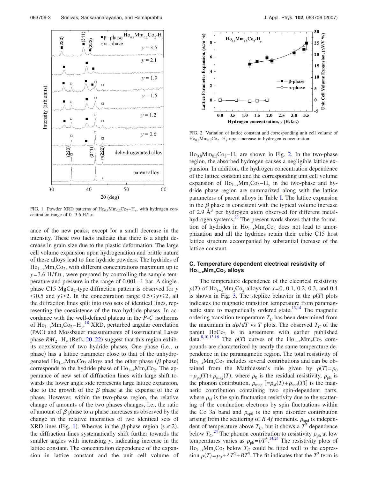<span id="page-3-0"></span>

FIG. 1. Powder XRD patterns of  $\text{Ho}_{0.8}\text{Mm}_{0.2}\text{Co}_2 - \text{H}_\text{y}$ , with hydrogen concentration range of 0–3.6 H/f.u.

ance of the new peaks, except for a small decrease in the intensity. These two facts indicate that there is a slight decrease in grain size due to the plastic deformation. The large cell volume expansion upon hydrogenation and brittle nature of these alloys lead to fine hydride powders. The hydrides of  $Ho_{1-x}Mm_rCo_2$ , with different concentrations maximum up to *y*=3.6 H/f.u., were prepared by controlling the sample temperature and pressure in the range of 0.001–1 bar. A singlephase C15 MgCu<sub>2</sub>-type diffraction pattern is observed for *y*  $\leq 0.5$  and  $y \geq 2$ . In the concentration range  $0.5 \leq y \leq 2$ , all the diffraction lines split into two sets of identical lines, representing the coexistence of the two hydride phases. In accordance with the well-defined plateau in the *P*-*C* isotherms of Ho1−*x*Mm*x*Co2 –H*y*, [18](#page-8-5) XRD, perturbed angular correlation (PAC) and Mossbauer measurements of isostructural Laves phase  $RM_2-H_y$  (Refs. [20](#page-8-7)[–22](#page-8-8)) suggest that this region exhibits coexistence of two hydride phases. One phase (i.e.,  $\alpha$ phase) has a lattice parameter close to that of the unhydrogenated  $Ho_{1-x}Mm_xCo_2$  alloys and the other phase ( $\beta$  phase) corresponds to the hydride phase of Ho<sub>1−*x*</sub>Mm<sub>*x*</sub>Co<sub>2</sub>. The appearance of new set of diffraction lines with large shift towards the lower angle side represents large lattice expansion, due to the growth of the  $\beta$  phase at the expense of the  $\alpha$ phase. However, within the two-phase region, the relative change of amounts of the two phases changes, i.e., the ratio of amount of  $\beta$  phase to  $\alpha$  phase increases as observed by the change in the relative intensities of two identical sets of XRD lines (Fig. [1](#page-3-0)). Whereas in the  $\beta$ -phase region ( $y \ge 2$ ), the diffraction lines systematically shift further towards the smaller angles with increasing *y*, indicating increase in the lattice constant. The concentration dependence of the expansion in lattice constant and the unit cell volume of

<span id="page-3-1"></span>

FIG. 2. Variation of lattice constant and corresponding unit cell volume of  $Ho_{0.8}Mm_{0.2}Co_2-H_v$  upon increase in hydrogen concentration.

 $Ho_{0.8}Mm_0$ <sub>2</sub>Co<sub>2</sub>-H<sub>y</sub> are shown in Fig. [2.](#page-3-1) In the two-phase region, the absorbed hydrogen causes a negligible lattice expansion. In addition, the hydrogen concentration dependence of the lattice constant and the corresponding unit cell volume expansion of Ho<sub>1−*x*</sub>Mm<sub>*x*</sub>Co<sub>2</sub>−H<sub>*v*</sub> in the two-phase and hydride phase region are summarized along with the lattice parameters of parent alloys in Table [I.](#page-2-0) The lattice expansion in the  $\beta$  phase is consistent with the typical volume increase of 2.9  $\AA$ <sup>3</sup> per hydrogen atom observed for different metalhydrogen systems.<sup>23</sup> The present work shows that the formation of hydrides in Ho<sub>1−*x*</sub>Mm<sub>*x*</sub>Co<sub>2</sub> does not lead to amorphization and all the hydrides retain their cubic C15 host lattice structure accompanied by substantial increase of the lattice constant.

## **C. Temperature dependent electrical resistivity of Ho1−***x***Mm***x***Co2 alloys**

The temperature dependence of the electrical resistivity  $\rho(T)$  of Ho<sub>1−*x*</sub>Mm<sub>*x*</sub>Co<sub>2</sub> alloys for *x*=0, 0.1, 0.2, 0.3, and 0.4 is shown in Fig. [3.](#page-4-0) The steplike behavior in the  $\rho(T)$  plots indicates the magnetic transition temperature from paramag-netic state to magnetically ordered state.<sup>13,[14](#page-8-11)</sup> The magnetic ordering transition temperature  $T_C$  has been determined from the maximum in  $d\rho/dT$  vs *T* plots. The observed  $T_c$  of the parent  $HoCo<sub>2</sub>$  is in agreement with earlier published data.<sup>8,[10,](#page-8-1)[13,](#page-8-10)[16](#page-8-3)</sup> The  $\rho(T)$  curves of the Ho<sub>1−*x*</sub>Mm<sub>*x*</sub>Co<sub>2</sub> compounds are characterized by nearly the same temperature dependence in the paramagnetic region. The total resistivity of Ho<sub>1−*x*</sub>Mm<sub>*x*</sub>Co<sub>2</sub> includes several contributions and can be obtained from the Matthiessen's rule given by  $\rho(T) = \rho_0$ + $\rho_{ph}(T)$  +  $\rho_{mag}(T)$ , where  $\rho_0$  is the residual resistivity,  $\rho_{ph}$  is the phonon contribution,  $\rho_{\text{mag}}$   $\left[=\rho_{\text{sf}}(T) + \rho_{\text{spd}}(T)\right]$  is the magnetic contribution containing two spin-dependent parts, where  $\rho_{\rm sf}$  is the spin fluctuation resistivity due to the scattering of the conduction electrons by spin fluctuations within the Co 3*d* band and  $\rho_{\text{spd}}$  is the spin disorder contribution arising from the scattering of *R* 4*f* moments.  $\rho_{\text{spd}}$  is independent of temperature above  $T_C$ , but it shows a  $T^2$  dependence below  $T_c$ .<sup>[24](#page-8-12)</sup> The phonon contribution to resistivity  $\rho_{ph}$  at low temperatures varies as  $\rho_{ph} = bT^5$ .<sup>[14](#page-8-11)[,24](#page-8-12)</sup> The resistivity plots of  $Ho_{1-x}Mm_xCo_2$  below  $T_C$  could be fitted well to the expression  $\rho(T) = \rho_0 + AT^2 + BT^5$ . The fit indicates that the  $T^2$  term is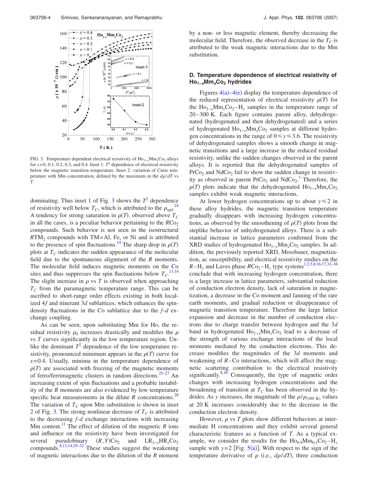<span id="page-4-0"></span>

FIG. 3. Temperature dependent electrical resistivity of Ho1−*x*Mm*x*Co2 alloys for  $x=0$ , 0.1, 0.2, 0.3, and 0.4. Inset 1:  $T^2$  dependence of electrical resistivity below the magnetic transition temperature. Inset 2: variation of Curie temperature with Mm concentration, defined by the maximum in the  $d\rho/dT$  vs *T*.

dominating. Thus inset 1 of Fig. [3](#page-4-0) shows the  $T^2$  dependence of resistivity well below  $T_C$ , which is attributed to the  $\rho_{\text{spd}}^{24}$  $\rho_{\text{spd}}^{24}$  $\rho_{\text{spd}}^{24}$ . A tendency for strong saturation in  $\rho(T)$ , observed above  $T_C$ in all the cases, is a peculiar behavior pertaining to the  $RCo<sub>2</sub>$ compounds. Such behavior is not seen in the isostructural  $RTM<sub>2</sub>$  compounds with TM=Al, Fe, or Ni and is attributed to the presence of spin fluctuations.<sup>14</sup> The sharp drop in  $\rho(T)$ plots at  $T_c$  indicates the sudden appearance of the molecular field due to the spontaneous alignment of the *R* moments. The molecular field induces magnetic moments on the Co sites and thus suppresses the spin fluctuations below  $T_C^{13,14}$  $T_C^{13,14}$  $T_C^{13,14}$  $T_C^{13,14}$ The slight increase in  $\rho$  vs  $T$  is observed when approaching  $T_c$  from the paramagnetic temperature range. This can be ascribed to short-range order effects existing in both localized 4*f* and itinerant 3*d* sublattices, which enhances the spindensity fluctuations in the Co sublattice due to the *f*-*d* exchange coupling.

As can be seen, upon substituting Mm for Ho, the residual resistivity  $\rho_0$  increases drastically and modifies the  $\rho$ vs *T* curves significantly in the low temperature region. Unlike the dominant  $T^2$  dependence of the low temperature resistivity, pronounced minimum appears in the  $\rho(T)$  curve for  $x=0.4$ . Usually, minima in the temperature dependence of  $\rho(T)$  are associated with freezing of the magnetic moments of ferro/ferrimagnetic clusters in random directions.<sup>25[–27](#page-8-14)</sup> An increasing extent of spin fluctuations and a probable instability of the *R* moments are also evidenced by low temperature specific heat measurements in the dilute  $R$  concentrations.<sup>28</sup> The variation of  $T_C$  upon Mm substitution is shown in inset 2 of Fig. [3.](#page-4-0) The strong nonlinear decrease of  $T_c$  is attributed to the decreasing *f*-*d* exchange interactions with increasing Mm content.<sup>11</sup> The effect of dilution of the magnetic  $R$  ions and influence on the resistivity have been investigated for several pseudobinary  $(R, Y)$ Co<sub>2</sub> and LR<sub>1−*x*</sub>HR<sub>*x*</sub>Co<sub>2</sub> compounds[.8,](#page-7-0)[13,](#page-8-10)[14,](#page-8-11)[29–](#page-8-17)[32](#page-8-18) These studies suggest the weakening of magnetic interactions due to the dilution of the *R* moment

by a non- or less magnetic element, thereby decreasing the molecular field. Therefore, the observed decrease in the  $T_C$  is attributed to the weak magnetic interactions due to the Mm substitution.

### **D. Temperature dependence of electrical resistivity of Ho1−***x***Mm***x***Co2 hydrides**

Figures  $4(a) - 4(e)$  $4(a) - 4(e)$  display the temperature dependence of the reduced representation of electrical resistivity  $\rho(T)$  for the Ho<sub>1−*x*</sub>Mm<sub>*x*</sub>Co<sub>2</sub>−H<sub>*v*</sub> samples in the temperature range of 20–300 K. Each figure contains parent alloy, dehydrogenated (hydrogenated and then dehydrogenated) and a series of hydrogenated Ho<sub>1−*x*</sub>Mm<sub>*x*</sub>Co<sub>2</sub> samples at different hydrogen concentrations in the range of  $0 \le y \le 3.6$ . The resistivity of dehydrogenated samples shows a smooth change in magnetic transitions and a large increase in the reduced residual resistivity, unlike the sudden changes observed in the parent alloys. It is reported that the dehydrogenated samples of  $PrCo<sub>2</sub>$  and NdCo<sub>2</sub> fail to show the sudden change in resistivity as observed in parent  $PrCo_2$  and  $NdCo_2$ .<sup>[1](#page-7-0)</sup> Therefore, the  $\rho(T)$  plots indicate that the dehydrogenated  $\text{Ho}_{1-x}\text{Mm}_x\text{Co}_2$ samples exhibit weak magnetic interactions.

At lower hydrogen concentrations up to about  $y \le 2$  in these alloy hydrides, the magnetic transition temperature gradually disappears with increasing hydrogen concentrations, as observed by the smoothening of  $\rho(T)$  plots from the steplike behavior of unhydrogenated alloys. There is a substantial increase in lattice parameters confirmed from the XRD studies of hydrogenated Ho<sub>1−*x*</sub>Mm<sub>*x*</sub>Co<sub>2</sub> samples. In addition, the previously reported XRD, Mossbauer, magnetization, ac susceptibility, and electrical resistivity studies on the  $R-H_y$  and Laves phase  $RCo_2-H_y$  type systems<sup>1,[2,](#page-7-1)[5,](#page-8-19)[8](#page-7-0)[,16,](#page-8-3)[17](#page-8-4)[,33](#page-8-20)[–36](#page-8-21)</sup> conclude that with increasing hydrogen concentration, there is a large increase in lattice parameters, substantial reduction of conduction electron density, lack of saturation in magnetization, a decrease in the Co moment and fanning of the rare earth moments, and gradual reduction or disappearance of magnetic transition temperature. Therefore the large lattice expansion and decrease in the number of conduction electrons due to charge transfer between hydrogen and the 3*d* band in hydrogenated Ho<sub>1−*x*</sub>Mm<sub>*x*</sub>Co<sub>2</sub> lead to a decrease of the strength of various exchange interactions of the local moments mediated by the conduction electrons. This decrease modifies the magnitudes of the 3*d* moments and weakening of *R*–Co interactions, which will affect the magnetic scattering contribution to the electrical resistivity significantly. $8,16$  $8,16$  Consequently, the type of magnetic order changes with increasing hydrogen concentrations and the broadening of transition at  $T_c$  has been observed in the hydrides. As y increases, the magnitude of the  $\rho/\rho_{(300\text{ K})}$  values at 20 K increases considerably due to the decrease in the conduction electron density.

However,  $\rho$  vs  $T$  plots show different behaviors at intermediate H concentrations and they exhibit several general characteristic features as a function of *T*. As a typical example, we consider the results for the  $Ho<sub>0.9</sub>Mm<sub>0.1</sub>Co<sub>2</sub> - H<sub>v</sub>$ sample with  $y=2$  [Fig.  $5(a)$  $5(a)$ ]. With respect to the sign of the temperature derivative of  $\rho$  (i.e.,  $d\rho/dT$ ), three conduction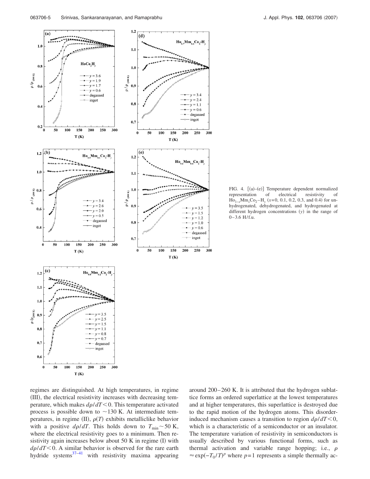<span id="page-5-0"></span>

FIG. 4. [(a)-(e)] Temperature dependent normalized representation of electrical resistivity of  $\text{Ho}_{1-x} \text{Mm}_x \text{Co}_2 - \text{H}_y \text{ (}x=0, 0.1, 0.2, 0.3, \text{ and } 0.4 \text{) for un-}$ hydrogenated, dehydrogenated, and hydrogenated at different hydrogen concentrations (y) in the range of 0–3.6 H/f.u.

regimes are distinguished. At high temperatures, in regime (III), the electrical resistivity increases with decreasing temperature, which makes  $d\rho/dT < 0$ . This temperature activated process is possible down to  $\sim$  130 K. At intermediate temperatures, in regime  $(II)$ ,  $\rho(T)$  exhibits metalliclike behavior with a positive  $d\rho/dT$ . This holds down to  $T_{\text{min}} \sim 50$  K, where the electrical resistivity goes to a minimum. Then resistivity again increases below about  $50$  K in regime (I) with  $d\rho/dT < 0$ . A similar behavior is observed for the rare earth hydride systems $37-41$  $37-41$  with resistivity maxima appearing

around 200–260 K. It is attributed that the hydrogen sublattice forms an ordered superlattice at the lowest temperatures and at higher temperatures, this superlattice is destroyed due to the rapid motion of the hydrogen atoms. This disorderinduced mechanism causes a transition to region  $d\rho/dT < 0$ , which is a characteristic of a semiconductor or an insulator. The temperature variation of resistivity in semiconductors is usually described by various functional forms, such as thermal activation and variable range hopping; i.e.,  $\rho$  $\approx \exp(-T_0/T)^p$  where *p*=1 represents a simple thermally ac-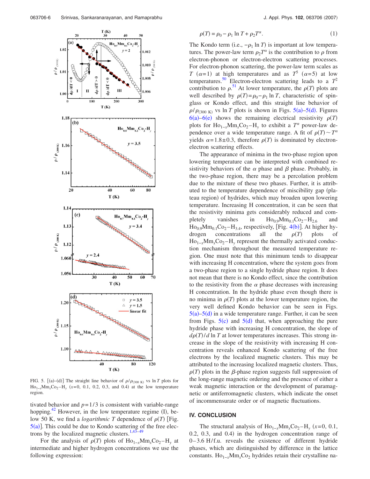<span id="page-6-0"></span>

FIG. 5. [(a)–(d)] The straight line behavior of  $\rho/\rho_{(300 \text{ K})}$  vs ln *T* plots for  $\text{Ho}_{1-x} \text{Mm}_x \text{Co}_2 - \text{H}_y$  (x=0, 0.1, 0.2, 0.3, and 0.4) at the low temperature region.

tivated behavior and  $p=1/3$  is consistent with variable-range hopping.<sup>42</sup> However, in the low temperature regime  $(I)$ , below 50 K, we find a *logarithmic T* dependence of  $\rho(T)$  [Fig.  $5(a)$  $5(a)$ ]. This could be due to Kondo scattering of the free elec-trons by the localized magnetic clusters.<sup>1,[43–](#page-8-25)[49](#page-8-26)</sup>

For the analysis of  $\rho(T)$  plots of  $\text{Ho}_{1-x}\text{Mm}_x\text{Co}_2 - \text{H}_y$  at intermediate and higher hydrogen concentrations we use the following expression:

$$
\rho(T) = \rho_0 - \rho_1 \ln T + \rho_2 T^{\alpha}.\tag{1}
$$

The Kondo term (i.e.,  $-\rho_1 \ln T$ ) is important at low temperatures. The power-law term  $\rho_2 T^{\alpha}$  is the contribution to  $\rho$  from electron-phonon or electron-electron scattering processes. For electron-phonon scattering, the power-law term scales as *T*  $(\alpha=1)$  at high temperatures and as *T*<sup>5</sup>  $(\alpha=5)$  at low temperatures.<sup>50</sup> Electron-electron scattering leads to a  $T^2$ contribution to  $\rho$ .<sup>[51](#page-8-28)</sup> At lower temperature, the  $\rho(T)$  plots are well described by  $\rho(T) = \rho_0 - \rho_1 \ln T$ , characteristic of spinglass or Kondo effect, and this straight line behavior of  $\rho/\rho_{(300\text{ K})}$  vs ln *T* plots is shown in Figs. [5](#page-6-0)(a)[–5](#page-6-0)(d). Figures  $6(a) - 6(e)$  $6(a) - 6(e)$  shows the remaining electrical resistivity  $\rho(T)$ plots for Ho<sub>1−*x*</sub>Mm<sub>*x*</sub>Co<sub>2</sub>−H<sub>*v*</sub> to exhibit a  $T^{\alpha}$  power-law dependence over a wide temperature range. A fit of  $\rho(T) \sim T^{\alpha}$ yields  $\alpha = 1.8 \pm 0.3$ , therefore  $\rho(T)$  is dominated by electronelectron scattering effects.

The appearance of minima in the two-phase region upon lowering temperature can be interpreted with combined resistivity behaviors of the  $\alpha$  phase and  $\beta$  phase. Probably, in the two-phase region, there may be a percolation problem due to the mixture of these two phases. Further, it is attributed to the temperature dependence of miscibility gap (plateau region) of hydrides, which may broaden upon lowering temperature. Increasing H concentration, it can be seen that the resistivity minima gets considerably reduced and completely vanishes in  $Ho_{0.9}Mm_{0.1}Co_2-H_{2.6}$  and  $Ho<sub>0.9</sub>Mm<sub>0.1</sub>Co<sub>2</sub>–H<sub>3.4</sub>$  $Ho<sub>0.9</sub>Mm<sub>0.1</sub>Co<sub>2</sub>–H<sub>3.4</sub>$  $Ho<sub>0.9</sub>Mm<sub>0.1</sub>Co<sub>2</sub>–H<sub>3.4</sub>$ , respectively, [Fig. 4(b)]. At higher hydrogen concentrations all the  $\rho(T)$  plots of Ho<sub>1−*x*</sub>Mm<sub>*x*</sub>Co<sub>2</sub>−H<sub>*v*</sub> represent the thermally activated conduction mechanism throughout the measured temperature region. One must note that this minimum tends to disappear with increasing H concentration, where the system goes from a two-phase region to a single hydride phase region. It does not mean that there is no Kondo effect, since the contribution to the resistivity from the  $\alpha$  phase decreases with increasing H concentration. In the hydride phase even though there is no minima in  $\rho(T)$  plots at the lower temperature region, the very well defined Kondo behavior can be seen in Figs.  $5(a) - 5(d)$  $5(a) - 5(d)$  in a wide temperature range. Further, it can be seen from Figs.  $5(c)$  $5(c)$  and  $5(d)$  that, when approaching the pure hydride phase with increasing H concentration, the slope of  $d\rho(T)/d \ln T$  at lower temperatures increases. This strong increase in the slope of the resistivity with increasing H concentration reveals enhanced Kondo scattering of the free electrons by the localized magnetic clusters. This may be attributed to the increasing localized magnetic clusters. Thus,  $\rho(T)$  plots in the  $\beta$ -phase region suggests full suppression of the long-range magnetic ordering and the presence of either a weak magnetic interaction or the development of paramagnetic or antiferromagnetic clusters, which indicate the onset of incommensurate order or of magnetic fluctuations.

#### **IV. CONCLUSION**

The structural analysis of  $\text{Ho}_{1-x}\text{Mm}_x\text{Co}_2 - \text{H}_y$  (x=0, 0.1,  $0.2, 0.3,$  and  $0.4$ ) in the hydrogen concentration range of 0–3.6 H/f.u. reveals the existence of different hydride phases, which are distinguished by difference in the lattice constants. Ho<sub>1−*x*</sub>Mm<sub>*x*</sub>Co<sub>2</sub> hydrides retain their crystalline na-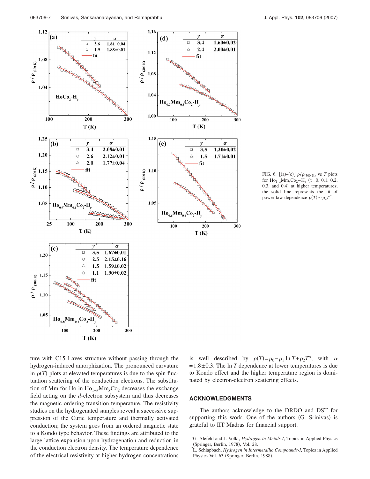<span id="page-7-2"></span>

FIG. 6.  $[(a)-(e)] \rho/\rho_{(300 \text{ K})}$  vs *T* plots for Ho<sub>1−*x*</sub>Mm<sub>*x*</sub>Co<sub>2</sub>−H<sub>*y*</sub> (*x*=0, 0.1, 0.2, 0.3, and 0.4) at higher temperatures; the solid line represents the fit of power-law dependence  $\rho(T) \approx \rho_2 T^{\alpha}$ .

ture with C15 Laves structure without passing through the hydrogen-induced amorphization. The pronounced curvature in  $\rho(T)$  plots at elevated temperatures is due to the spin fluctuation scattering of the conduction electrons. The substitution of Mm for Ho in Ho<sub>1−*x*</sub>Mm<sub>*x*</sub>Co<sub>2</sub> decreases the exchange field acting on the *d*-electron subsystem and thus decreases the magnetic ordering transition temperature. The resistivity studies on the hydrogenated samples reveal a successive suppression of the Curie temperature and thermally activated conduction; the system goes from an ordered magnetic state to a Kondo type behavior. These findings are attributed to the large lattice expansion upon hydrogenation and reduction in the conduction electron density. The temperature dependence of the electrical resistivity at higher hydrogen concentrations

is well described by  $\rho(T) = \rho_0 - \rho_1 \ln T + \rho_2 T^{\alpha}$ , with  $\alpha$  $=1.8\pm0.3$ . The ln *T* dependence at lower temperatures is due to Kondo effect and the higher temperature region is dominated by electron-electron scattering effects.

## **ACKNOWLEDGMENTS**

The authors acknowledge to the DRDO and DST for supporting this work. One of the authors (G. Srinivas) is grateful to IIT Madras for financial support.

<span id="page-7-0"></span><sup>&</sup>lt;sup>1</sup>G. Alefeld and J. Volkl, *Hydrogen in Metals-I*, Topics in Applied Physics (Springer, Berlin, 1978), Vol. 28.

<span id="page-7-1"></span>L. Schlapbach, *Hydrogen in Intermetallic Compounds-I*, Topics in Applied Physics Vol. 63 (Springer, Berlin, 1988).